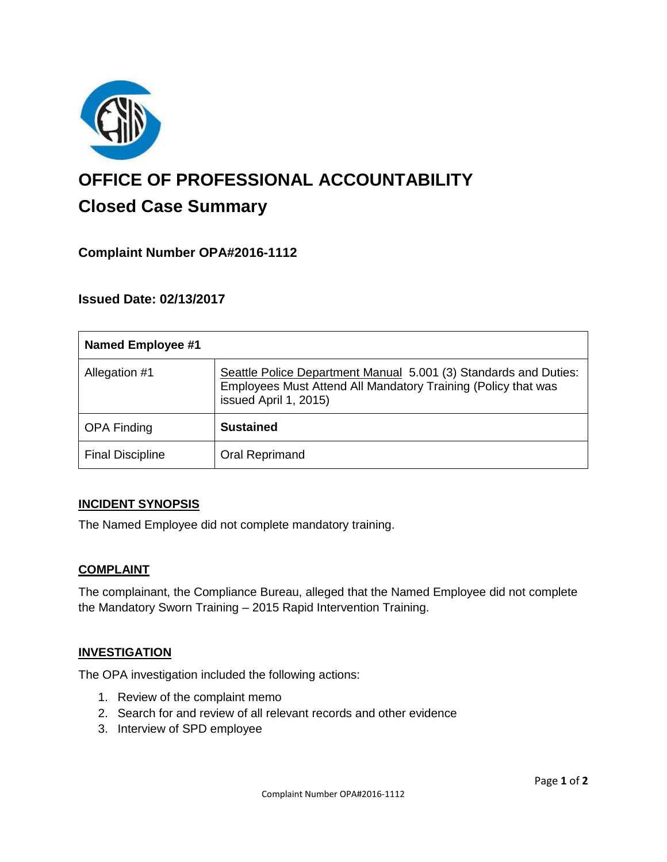

# **OFFICE OF PROFESSIONAL ACCOUNTABILITY Closed Case Summary**

# **Complaint Number OPA#2016-1112**

# **Issued Date: 02/13/2017**

| <b>Named Employee #1</b> |                                                                                                                                                            |
|--------------------------|------------------------------------------------------------------------------------------------------------------------------------------------------------|
| Allegation #1            | Seattle Police Department Manual 5.001 (3) Standards and Duties:<br>Employees Must Attend All Mandatory Training (Policy that was<br>issued April 1, 2015) |
| <b>OPA Finding</b>       | <b>Sustained</b>                                                                                                                                           |
| <b>Final Discipline</b>  | Oral Reprimand                                                                                                                                             |

#### **INCIDENT SYNOPSIS**

The Named Employee did not complete mandatory training.

#### **COMPLAINT**

The complainant, the Compliance Bureau, alleged that the Named Employee did not complete the Mandatory Sworn Training – 2015 Rapid Intervention Training.

#### **INVESTIGATION**

The OPA investigation included the following actions:

- 1. Review of the complaint memo
- 2. Search for and review of all relevant records and other evidence
- 3. Interview of SPD employee